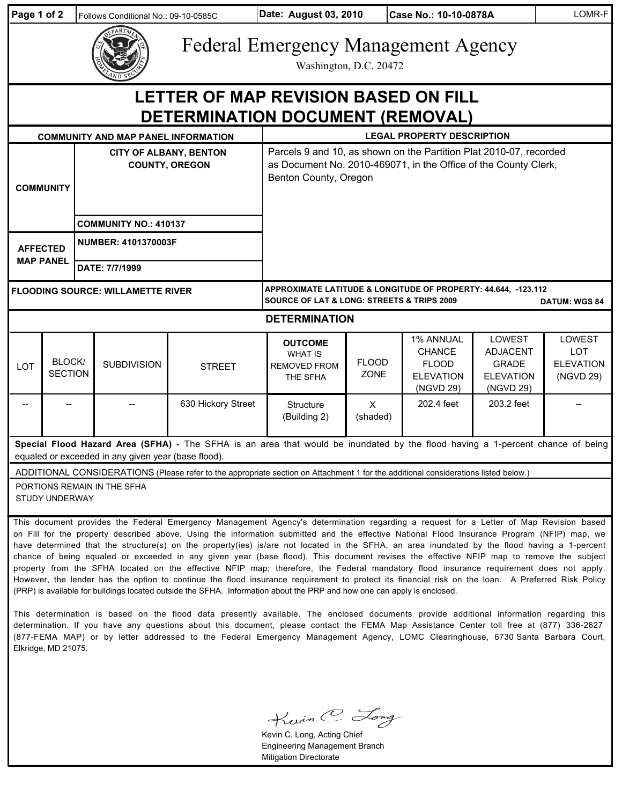| Page 1 of 2                                                                                                                                                                                                                                                                                                                                                                                                                                                                                                                                                                                                                                                                                                                                                                                                                                                                   |                          | Follows Conditional No.: 09-10-0585C                   |                    | Date: August 03, 2010                                                                                                                                          |                      | Case No.: 10-10-0878A                                                              |                                                                            | LOMR-F                                                |
|-------------------------------------------------------------------------------------------------------------------------------------------------------------------------------------------------------------------------------------------------------------------------------------------------------------------------------------------------------------------------------------------------------------------------------------------------------------------------------------------------------------------------------------------------------------------------------------------------------------------------------------------------------------------------------------------------------------------------------------------------------------------------------------------------------------------------------------------------------------------------------|--------------------------|--------------------------------------------------------|--------------------|----------------------------------------------------------------------------------------------------------------------------------------------------------------|----------------------|------------------------------------------------------------------------------------|----------------------------------------------------------------------------|-------------------------------------------------------|
|                                                                                                                                                                                                                                                                                                                                                                                                                                                                                                                                                                                                                                                                                                                                                                                                                                                                               |                          |                                                        |                    | <b>Federal Emergency Management Agency</b><br>Washington, D.C. 20472                                                                                           |                      |                                                                                    |                                                                            |                                                       |
| LETTER OF MAP REVISION BASED ON FILL<br>DETERMINATION DOCUMENT (REMOVAL)                                                                                                                                                                                                                                                                                                                                                                                                                                                                                                                                                                                                                                                                                                                                                                                                      |                          |                                                        |                    |                                                                                                                                                                |                      |                                                                                    |                                                                            |                                                       |
| <b>COMMUNITY AND MAP PANEL INFORMATION</b>                                                                                                                                                                                                                                                                                                                                                                                                                                                                                                                                                                                                                                                                                                                                                                                                                                    |                          |                                                        |                    | <b>LEGAL PROPERTY DESCRIPTION</b>                                                                                                                              |                      |                                                                                    |                                                                            |                                                       |
| <b>COMMUNITY</b>                                                                                                                                                                                                                                                                                                                                                                                                                                                                                                                                                                                                                                                                                                                                                                                                                                                              |                          | <b>CITY OF ALBANY, BENTON</b><br><b>COUNTY, OREGON</b> |                    | Parcels 9 and 10, as shown on the Partition Plat 2010-07, recorded<br>as Document No. 2010-469071, in the Office of the County Clerk,<br>Benton County, Oregon |                      |                                                                                    |                                                                            |                                                       |
|                                                                                                                                                                                                                                                                                                                                                                                                                                                                                                                                                                                                                                                                                                                                                                                                                                                                               |                          | <b>COMMUNITY NO.: 410137</b>                           |                    |                                                                                                                                                                |                      |                                                                                    |                                                                            |                                                       |
| <b>AFFECTED</b><br><b>MAP PANEL</b>                                                                                                                                                                                                                                                                                                                                                                                                                                                                                                                                                                                                                                                                                                                                                                                                                                           |                          | <b>NUMBER: 4101370003F</b>                             |                    |                                                                                                                                                                |                      |                                                                                    |                                                                            |                                                       |
|                                                                                                                                                                                                                                                                                                                                                                                                                                                                                                                                                                                                                                                                                                                                                                                                                                                                               |                          | DATE: 7/7/1999                                         |                    |                                                                                                                                                                |                      |                                                                                    |                                                                            |                                                       |
| <b>FLOODING SOURCE: WILLAMETTE RIVER</b>                                                                                                                                                                                                                                                                                                                                                                                                                                                                                                                                                                                                                                                                                                                                                                                                                                      |                          |                                                        |                    | APPROXIMATE LATITUDE & LONGITUDE OF PROPERTY: 44.644, -123.112<br><b>SOURCE OF LAT &amp; LONG: STREETS &amp; TRIPS 2009</b><br><b>DATUM: WGS 84</b>            |                      |                                                                                    |                                                                            |                                                       |
| <b>DETERMINATION</b>                                                                                                                                                                                                                                                                                                                                                                                                                                                                                                                                                                                                                                                                                                                                                                                                                                                          |                          |                                                        |                    |                                                                                                                                                                |                      |                                                                                    |                                                                            |                                                       |
| LOT                                                                                                                                                                                                                                                                                                                                                                                                                                                                                                                                                                                                                                                                                                                                                                                                                                                                           | BLOCK/<br><b>SECTION</b> | <b>SUBDIVISION</b>                                     | <b>STREET</b>      | <b>OUTCOME</b><br><b>WHAT IS</b><br><b>REMOVED FROM</b><br>THE SFHA                                                                                            | <b>FLOOD</b><br>ZONE | <b>1% ANNUAL</b><br><b>CHANCE</b><br><b>FLOOD</b><br><b>ELEVATION</b><br>(NGVD 29) | LOWEST<br><b>ADJACENT</b><br><b>GRADE</b><br><b>ELEVATION</b><br>(NGVD 29) | LOWEST<br><b>LOT</b><br><b>ELEVATION</b><br>(NGVD 29) |
|                                                                                                                                                                                                                                                                                                                                                                                                                                                                                                                                                                                                                                                                                                                                                                                                                                                                               |                          |                                                        | 630 Hickory Street | Structure<br>(Building 2)                                                                                                                                      | $\times$<br>(shaded) | 202.4 feet                                                                         | 203.2 feet                                                                 |                                                       |
| Special Flood Hazard Area (SFHA) - The SFHA is an area that would be inundated by the flood having a 1-percent chance of being<br>equaled or exceeded in any given year (base flood).                                                                                                                                                                                                                                                                                                                                                                                                                                                                                                                                                                                                                                                                                         |                          |                                                        |                    |                                                                                                                                                                |                      |                                                                                    |                                                                            |                                                       |
| ADDITIONAL CONSIDERATIONS (Please refer to the appropriate section on Attachment 1 for the additional considerations listed below.)                                                                                                                                                                                                                                                                                                                                                                                                                                                                                                                                                                                                                                                                                                                                           |                          |                                                        |                    |                                                                                                                                                                |                      |                                                                                    |                                                                            |                                                       |
| PORTIONS REMAIN IN THE SFHA<br><b>STUDY UNDERWAY</b>                                                                                                                                                                                                                                                                                                                                                                                                                                                                                                                                                                                                                                                                                                                                                                                                                          |                          |                                                        |                    |                                                                                                                                                                |                      |                                                                                    |                                                                            |                                                       |
| This document provides the Federal Emergency Management Agency's determination regarding a request for a Letter of Map Revision based<br>on Fill for the property described above. Using the information submitted and the effective National Flood Insurance Program (NFIP) map, we<br>have determined that the structure(s) on the property(ies) is/are not located in the SFHA, an area inundated by the flood having a 1-percent<br>chance of being equaled or exceeded in any given year (base flood). This document revises the effective NFIP map to remove the subject<br>property from the SFHA located on the effective NFIP map; therefore, the Federal mandatory flood insurance requirement does not apply.<br>However, the lender has the option to continue the flood insurance requirement to protect its financial risk on the loan. A Preferred Risk Policy |                          |                                                        |                    |                                                                                                                                                                |                      |                                                                                    |                                                                            |                                                       |

This determination is based on the flood data presently available. The enclosed documents provide additional information regarding this determination. If you have any questions about this document, please contact the FEMA Map Assistance Center toll free at (877) 336-2627 (877-FEMA MAP) or by letter addressed to the Federal Emergency Management Agency, LOMC Clearinghouse, 6730 Santa Barbara Court, Elkridge, MD 21075.

(PRP) is available for buildings located outside the SFHA. Information about the PRP and how one can apply is enclosed.

Kevin C. Long

Kevin C. Long, Acting Chief Engineering Management Branch Mitigation Directorate